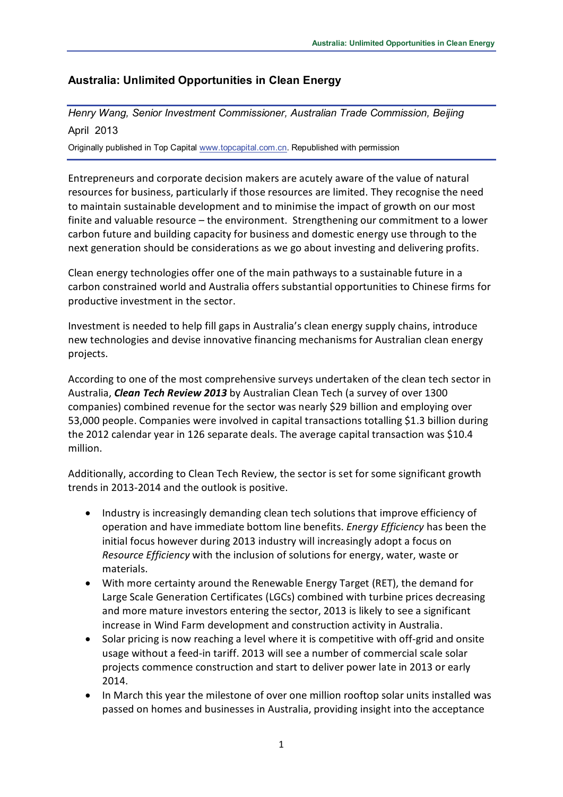# **Australia: Unlimited Opportunities in Clean Energy**

# *Henry Wang, Senior Investment Commissioner, Australian Trade Commission, Beijing* April 2013

Originally published in Top Capital [www.topcapital.com.cn.](http://www.topcapital.com.cn/) Republished with permission

Entrepreneurs and corporate decision makers are acutely aware of the value of natural resources for business, particularly if those resources are limited. They recognise the need to maintain sustainable development and to minimise the impact of growth on our most finite and valuable resource – the environment. Strengthening our commitment to a lower carbon future and building capacity for business and domestic energy use through to the next generation should be considerations as we go about investing and delivering profits.

Clean energy technologies offer one of the main pathways to a sustainable future in a carbon constrained world and Australia offers substantial opportunities to Chinese firms for productive investment in the sector.

Investment is needed to help fill gaps in Australia's clean energy supply chains, introduce new technologies and devise innovative financing mechanisms for Australian clean energy projects.

According to one of the most comprehensive surveys undertaken of the clean tech sector in Australia, *Clean Tech Review 2013* by Australian Clean Tech (a survey of over 1300 companies) combined revenue for the sector was nearly \$29 billion and employing over 53,000 people. Companies were involved in capital transactions totalling \$1.3 billion during the 2012 calendar year in 126 separate deals. The average capital transaction was \$10.4 million.

Additionally, according to Clean Tech Review, the sector is set for some significant growth trends in 2013-2014 and the outlook is positive.

- Industry is increasingly demanding clean tech solutions that improve efficiency of operation and have immediate bottom line benefits. *Energy Efficiency* has been the initial focus however during 2013 industry will increasingly adopt a focus on *Resource Efficiency* with the inclusion of solutions for energy, water, waste or materials.
- With more certainty around the Renewable Energy Target (RET), the demand for Large Scale Generation Certificates (LGCs) combined with turbine prices decreasing and more mature investors entering the sector, 2013 is likely to see a significant increase in Wind Farm development and construction activity in Australia.
- Solar pricing is now reaching a level where it is competitive with off-grid and onsite usage without a feed-in tariff. 2013 will see a number of commercial scale solar projects commence construction and start to deliver power late in 2013 or early 2014.
- In March this year the milestone of over one million rooftop solar units installed was passed on homes and businesses in Australia, providing insight into the acceptance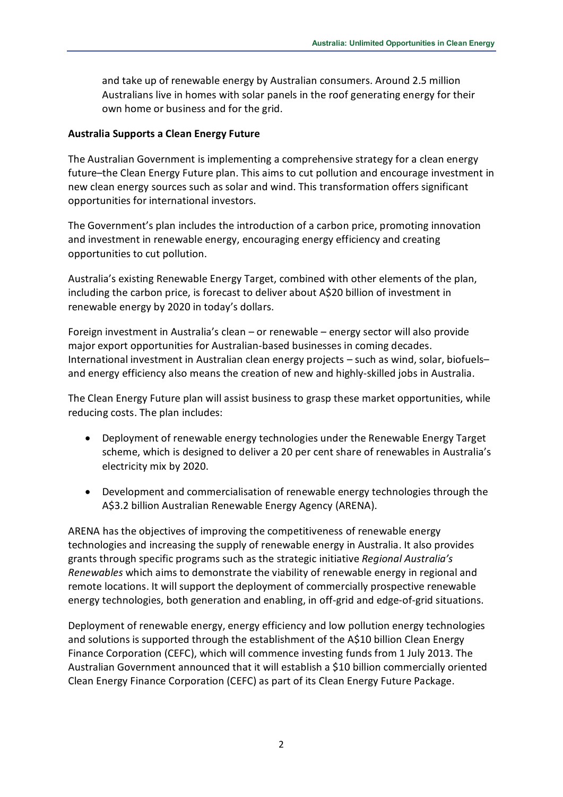and take up of renewable energy by Australian consumers. Around 2.5 million Australians live in homes with solar panels in the roof generating energy for their own home or business and for the grid.

#### **Australia Supports a Clean Energy Future**

The Australian Government is implementing a comprehensive strategy for a clean energy future–the Clean Energy Future plan. This aims to cut pollution and encourage investment in new clean energy sources such as solar and wind. This transformation offers significant opportunities for international investors.

The Government's plan includes the introduction of a carbon price, promoting innovation and investment in renewable energy, encouraging energy efficiency and creating opportunities to cut pollution.

Australia's existing Renewable Energy Target, combined with other elements of the plan, including the carbon price, is forecast to deliver about A\$20 billion of investment in renewable energy by 2020 in today's dollars.

Foreign investment in Australia's clean – or renewable – energy sector will also provide major export opportunities for Australian-based businesses in coming decades. International investment in Australian clean energy projects – such as wind, solar, biofuels– and energy efficiency also means the creation of new and highly-skilled jobs in Australia.

The Clean Energy Future plan will assist business to grasp these market opportunities, while reducing costs. The plan includes:

- Deployment of renewable energy technologies under the Renewable Energy Target scheme, which is designed to deliver a 20 per cent share of renewables in Australia's electricity mix by 2020.
- Development and commercialisation of renewable energy technologies through the A\$3.2 billion Australian Renewable Energy Agency (ARENA).

ARENA has the objectives of improving the competitiveness of renewable energy technologies and increasing the supply of renewable energy in Australia. It also provides grants through specific programs such as the strategic initiative *[Regional Australia's](http://www.arena.gov.au/programs/initiatives/regional-initiative.html)  [Renewables](http://www.arena.gov.au/programs/initiatives/regional-initiative.html)* which aims to demonstrate the viability of renewable energy in regional and remote locations. It will support the deployment of commercially prospective renewable energy technologies, both generation and enabling, in off-grid and edge-of-grid situations.

Deployment of renewable energy, energy efficiency and low pollution energy technologies and solutions is supported through the establishment of the A\$10 billion Clean Energy Finance Corporation (CEFC), which will commence investing funds from 1 July 2013. The Australian Government announced that it will establish a \$10 billion commercially oriented Clean Energy Finance Corporation (CEFC) as part of its [Clean Energy Future Package.](http://www.cleanenergyfuture.gov.au/)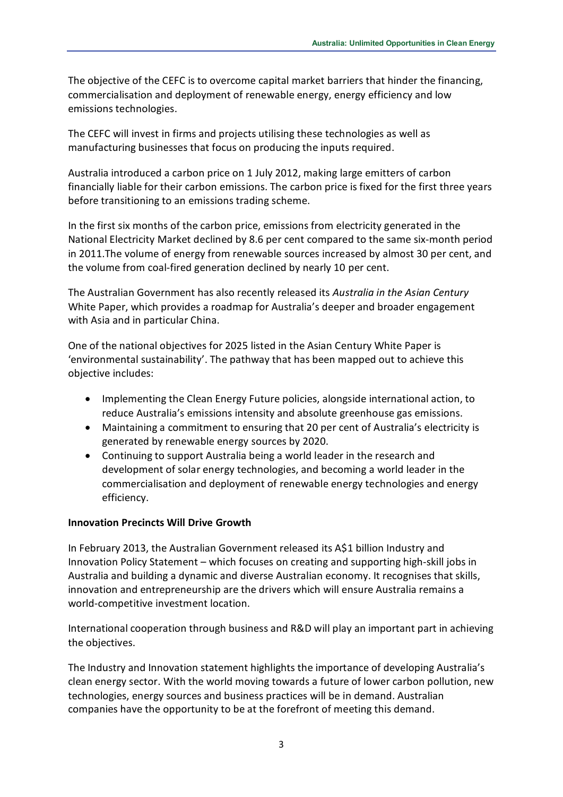The objective of the CEFC is to overcome capital market barriers that hinder the financing, commercialisation and deployment of renewable energy, energy efficiency and low emissions technologies.

The CEFC will invest in firms and projects utilising these technologies as well as manufacturing businesses that focus on producing the inputs required.

Australia introduced a carbon price on 1 July 2012, making large emitters of carbon financially liable for their carbon emissions. The carbon price is fixed for the first three years before transitioning to an emissions trading scheme.

In the first six months of the carbon price, emissions from electricity generated in the National Electricity Market declined by 8.6 per cent compared to the same six-month period in 2011.The volume of energy from renewable sources increased by almost 30 per cent, and the volume from coal-fired generation declined by nearly 10 per cent.

The Australian Government has also recently released its *Australia in the Asian Century* White Paper, which provides a roadmap for Australia's deeper and broader engagement with Asia and in particular China.

One of the national objectives for 2025 listed in the Asian Century White Paper is 'environmental sustainability'. The pathway that has been mapped out to achieve this objective includes:

- Implementing the Clean Energy Future policies, alongside international action, to reduce Australia's emissions intensity and absolute greenhouse gas emissions.
- Maintaining a commitment to ensuring that 20 per cent of Australia's electricity is generated by renewable energy sources by 2020.
- Continuing to support Australia being a world leader in the research and development of solar energy technologies, and becoming a world leader in the commercialisation and deployment of renewable energy technologies and energy efficiency.

#### **Innovation Precincts Will Drive Growth**

In February 2013, the Australian Government released its A\$1 billion Industry and Innovation Policy Statement – which focuses on creating and supporting high-skill jobs in Australia and building a dynamic and diverse Australian economy. It recognises that skills, innovation and entrepreneurship are the drivers which will ensure Australia remains a world-competitive investment location.

International cooperation through business and R&D will play an important part in achieving the objectives.

The Industry and Innovation statement highlights the importance of developing Australia's clean energy sector. With the world moving towards a future of lower carbon pollution, new technologies, energy sources and business practices will be in demand. Australian companies have the opportunity to be at the forefront of meeting this demand.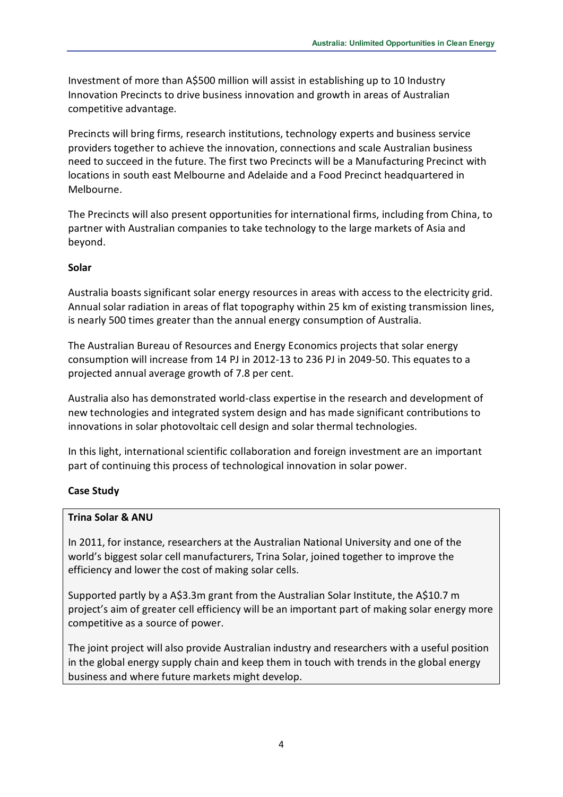Investment of more than A\$500 million will assist in establishing up to 10 Industry Innovation Precincts to drive business innovation and growth in areas of Australian competitive advantage.

Precincts will bring firms, research institutions, technology experts and business service providers together to achieve the innovation, connections and scale Australian business need to succeed in the future. The first two Precincts will be a Manufacturing Precinct with locations in south east Melbourne and Adelaide and a Food Precinct headquartered in Melbourne.

The Precincts will also present opportunities for international firms, including from China, to partner with Australian companies to take technology to the large markets of Asia and beyond.

### **Solar**

Australia boasts significant solar energy resources in areas with access to the electricity grid. Annual solar radiation in areas of flat topography within 25 km of existing transmission lines, is nearly 500 times greater than the annual energy consumption of Australia.

The Australian Bureau of Resources and Energy Economics projects that solar energy consumption will increase from 14 PJ in 2012-13 to 236 PJ in 2049-50. This equates to a projected annual average growth of 7.8 per cent.

Australia also has demonstrated world-class expertise in the research and development of new technologies and integrated system design and has made significant contributions to innovations in solar photovoltaic cell design and solar thermal technologies.

In this light, international scientific collaboration and foreign investment are an important part of continuing this process of technological innovation in solar power.

# **Case Study**

# **Trina Solar & ANU**

In 2011, for instance, researchers at the Australian National University and one of the world's biggest solar cell manufacturers, Trina Solar, joined together to improve the efficiency and lower the cost of making solar cells.

Supported partly by a A\$3.3m grant from the Australian Solar Institute, the A\$10.7 m project's aim of greater cell efficiency will be an important part of making solar energy more competitive as a source of power.

The joint project will also provide Australian industry and researchers with a useful position in the global energy supply chain and keep them in touch with trends in the global energy business and where future markets might develop.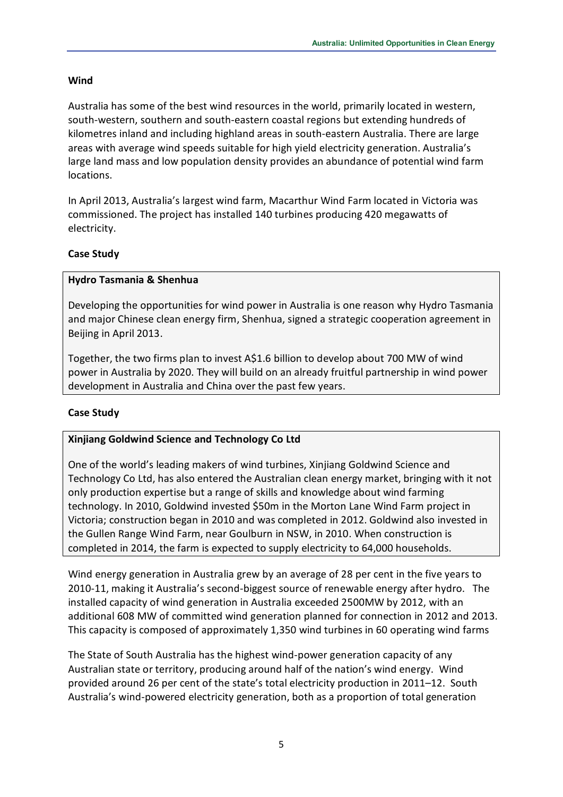### **Wind**

Australia has some of the best wind resources in the world, primarily located in western, south-western, southern and south-eastern coastal regions but extending hundreds of kilometres inland and including highland areas in south-eastern Australia. There are large areas with average wind speeds suitable for high yield electricity generation. Australia's large land mass and low population density provides an abundance of potential wind farm locations.

In April 2013, Australia's largest wind farm, Macarthur Wind Farm located in Victoria was commissioned. The project has installed 140 turbines producing 420 megawatts of electricity.

# **Case Study**

### **Hydro Tasmania & Shenhua**

Developing the opportunities for wind power in Australia is one reason why Hydro Tasmania and major Chinese clean energy firm, Shenhua, signed a strategic cooperation agreement in Beijing in April 2013.

Together, the two firms plan to invest A\$1.6 billion to develop about 700 MW of wind power in Australia by 2020. They will build on an already fruitful partnership in wind power development in Australia and China over the past few years.

# **Case Study**

#### **Xinjiang Goldwind Science and Technology Co Ltd**

One of the world's leading makers of wind turbines, Xinjiang Goldwind Science and Technology Co Ltd, has also entered the Australian clean energy market, bringing with it not only production expertise but a range of skills and knowledge about wind farming technology. In 2010, Goldwind invested \$50m in the Morton Lane Wind Farm project in Victoria; construction began in 2010 and was completed in 2012. Goldwind also invested in the Gullen Range Wind Farm, near Goulburn in NSW, in 2010. When construction is completed in 2014, the farm is expected to supply electricity to 64,000 households.

Wind energy generation in Australia grew by an average of 28 per cent in the five years to 2010-11, making it Australia's second-biggest source of renewable energy after hydro. The installed capacity of wind generation in Australia exceeded 2500MW by 2012, with an additional 608 MW of committed wind generation planned for connection in 2012 and 2013. This capacity is composed of approximately 1,350 wind turbines in 60 operating wind farms

The State of South Australia has the highest wind-power generation capacity of any Australian state or territory, producing around half of the nation's wind energy. Wind provided around 26 per cent of the state's total electricity production in 2011–12. South Australia's wind-powered electricity generation, both as a proportion of total generation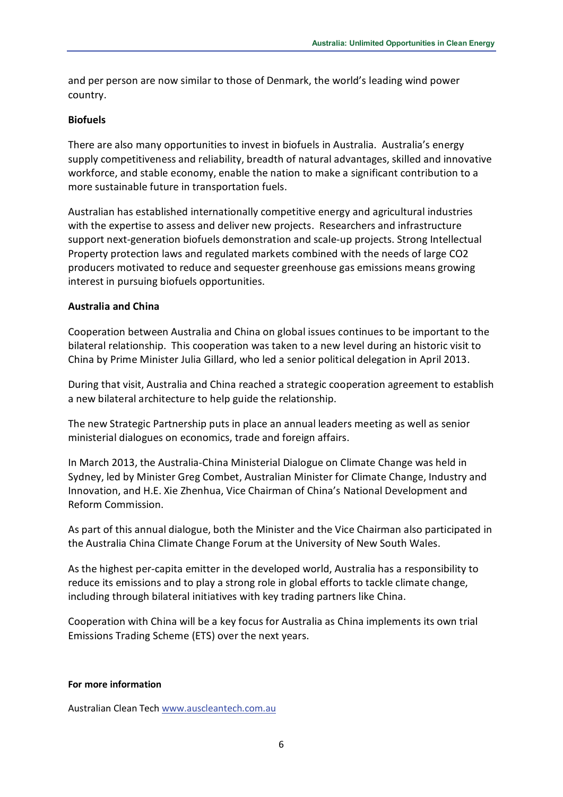and per person are now similar to those of Denmark, the world's leading wind power country.

### **Biofuels**

There are also many opportunities to invest in biofuels in Australia. Australia's energy supply competitiveness and reliability, breadth of natural advantages, skilled and innovative workforce, and stable economy, enable the nation to make a significant contribution to a more sustainable future in transportation fuels.

Australian has established internationally competitive energy and agricultural industries with the expertise to assess and deliver new projects. Researchers and infrastructure support next-generation biofuels demonstration and scale-up projects. Strong Intellectual Property protection laws and regulated markets combined with the needs of large CO2 producers motivated to reduce and sequester greenhouse gas emissions means growing interest in pursuing biofuels opportunities.

### **Australia and China**

Cooperation between Australia and China on global issues continues to be important to the bilateral relationship. This cooperation was taken to a new level during an historic visit to China by Prime Minister Julia Gillard, who led a senior political delegation in April 2013.

During that visit, Australia and China reached a strategic cooperation agreement to establish a new bilateral architecture to help guide the relationship.

The new Strategic Partnership puts in place an annual leaders meeting as well as senior ministerial dialogues on economics, trade and foreign affairs.

In March 2013, the Australia-China Ministerial Dialogue on Climate Change was held in Sydney, led by Minister Greg Combet, Australian Minister for Climate Change, Industry and Innovation, and H.E. Xie Zhenhua, Vice Chairman of China's National Development and Reform Commission.

As part of this annual dialogue, both the Minister and the Vice Chairman also participated in the Australia China Climate Change Forum at the University of New South Wales.

As the highest per-capita emitter in the developed world, Australia has a responsibility to reduce its emissions and to play a strong role in global efforts to tackle climate change, including through bilateral initiatives with key trading partners like China.

Cooperation with China will be a key focus for Australia as China implements its own trial Emissions Trading Scheme (ETS) over the next years.

#### **For more information**

Australian Clean Tech [www.auscleantech.com.au](http://www.auscleantech.com.au/)